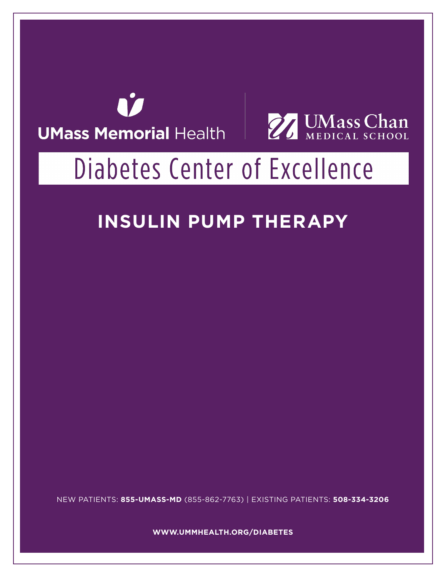



# Diabetes Center of Excellence

# **INSULIN PUMP THERAPY**

NEW PATIENTS: **855-UMASS-MD** (855-862-7763) | EXISTING PATIENTS: **508-334-3206**

**WWW.UMMHEALTH.ORG/DIABETES**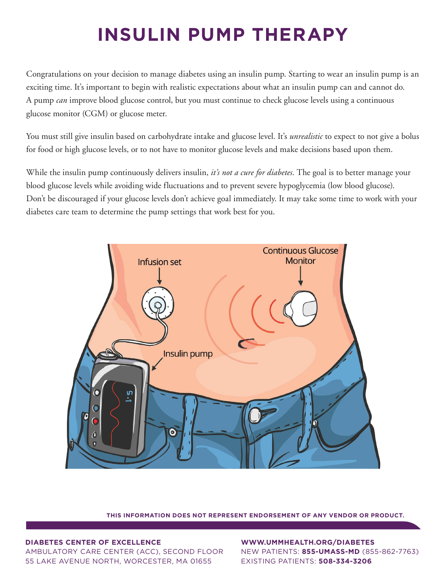# **INSULIN PUMP THERAPY**

Congratulations on your decision to manage diabetes using an insulin pump. Starting to wear an insulin pump is an exciting time. It's important to begin with realistic expectations about what an insulin pump can and cannot do. A pump *can* improve blood glucose control, but you must continue to check glucose levels using a continuous glucose monitor (CGM) or glucose meter.

You must still give insulin based on carbohydrate intake and glucose level. It's *unrealistic* to expect to not give a bolus for food or high glucose levels, or to not have to monitor glucose levels and make decisions based upon them.

While the insulin pump continuously delivers insulin, *it's not a cure for diabetes*. The goal is to better manage your blood glucose levels while avoiding wide fluctuations and to prevent severe hypoglycemia (low blood glucose). Don't be discouraged if your glucose levels don't achieve goal immediately. It may take some time to work with your diabetes care team to determine the pump settings that work best for you.



**THIS INFORMATION DOES NOT REPRESENT ENDORSEMENT OF ANY VENDOR OR PRODUCT.**

#### **DIABETES CENTER OF EXCELLENCE**

AMBULATORY CARE CENTER (ACC), SECOND FLOOR 55 LAKE AVENUE NORTH, WORCESTER, MA 01655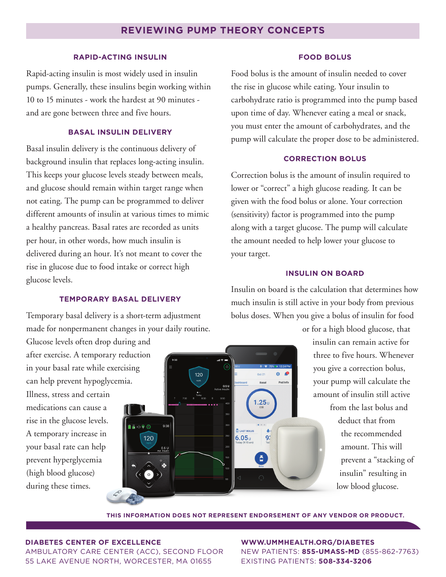# **REVIEWING PUMP THEORY CONCEPTS**

#### **RAPID-ACTING INSULIN**

Rapid-acting insulin is most widely used in insulin pumps. Generally, these insulins begin working within 10 to 15 minutes - work the hardest at 90 minutes and are gone between three and five hours.

# **BASAL INSULIN DELIVERY**

Basal insulin delivery is the continuous delivery of background insulin that replaces long-acting insulin. This keeps your glucose levels steady between meals, and glucose should remain within target range when not eating. The pump can be programmed to deliver different amounts of insulin at various times to mimic a healthy pancreas. Basal rates are recorded as units per hour, in other words, how much insulin is delivered during an hour. It's not meant to cover the rise in glucose due to food intake or correct high glucose levels.

#### **TEMPORARY BASAL DELIVERY**

Temporary basal delivery is a short-term adjustment made for nonpermanent changes in your daily routine.

Glucose levels often drop during and after exercise. A temporary reduction in your basal rate while exercising can help prevent hypoglycemia. Illness, stress and certain medications can cause a rise in the glucose levels. A temporary increase in your basal rate can help prevent hyperglycemia (high blood glucose) during these times.



#### **FOOD BOLUS**

Food bolus is the amount of insulin needed to cover the rise in glucose while eating. Your insulin to carbohydrate ratio is programmed into the pump based upon time of day. Whenever eating a meal or snack, you must enter the amount of carbohydrates, and the pump will calculate the proper dose to be administered.

#### **CORRECTION BOLUS**

Correction bolus is the amount of insulin required to lower or "correct" a high glucose reading. It can be given with the food bolus or alone. Your correction (sensitivity) factor is programmed into the pump along with a target glucose. The pump will calculate the amount needed to help lower your glucose to your target.

# **INSULIN ON BOARD**

Insulin on board is the calculation that determines how much insulin is still active in your body from previous bolus doses. When you give a bolus of insulin for food

> or for a high blood glucose, that insulin can remain active for three to five hours. Whenever you give a correction bolus, your pump will calculate the amount of insulin still active from the last bolus and deduct that from the recommended amount. This will prevent a "stacking of insulin" resulting in low blood glucose.

**THIS INFORMATION DOES NOT REPRESENT ENDORSEMENT OF ANY VENDOR OR PRODUCT.**

#### **DIABETES CENTER OF EXCELLENCE**

AMBULATORY CARE CENTER (ACC), SECOND FLOOR 55 LAKE AVENUE NORTH, WORCESTER, MA 01655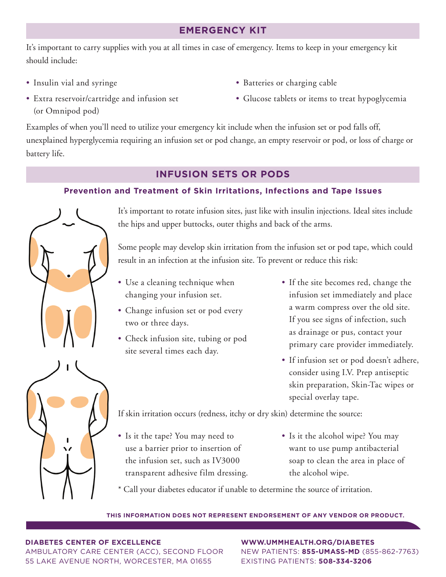# **EMERGENCY KIT**

It's important to carry supplies with you at all times in case of emergency. Items to keep in your emergency kit should include:

• Insulin vial and syringe

- Batteries or charging cable
- Glucose tablets or items to treat hypoglycemia
- Extra reservoir/cartridge and infusion set (or Omnipod pod)

Examples of when you'll need to utilize your emergency kit include when the infusion set or pod falls off, unexplained hyperglycemia requiring an infusion set or pod change, an empty reservoir or pod, or loss of charge or battery life.

# **INFUSION SETS OR PODS**

# **Prevention and Treatment of Skin Irritations, Infections and Tape Issues**



It's important to rotate infusion sites, just like with insulin injections. Ideal sites include the hips and upper buttocks, outer thighs and back of the arms.

Some people may develop skin irritation from the infusion set or pod tape, which could result in an infection at the infusion site. To prevent or reduce this risk:

- Use a cleaning technique when changing your infusion set.
- Change infusion set or pod every two or three days.
- Check infusion site, tubing or pod site several times each day.
- If the site becomes red, change the infusion set immediately and place a warm compress over the old site. If you see signs of infection, such as drainage or pus, contact your primary care provider immediately.
- If infusion set or pod doesn't adhere, consider using I.V. Prep antiseptic skin preparation, Skin-Tac wipes or special overlay tape.

If skin irritation occurs (redness, itchy or dry skin) determine the source:

- Is it the tape? You may need to use a barrier prior to insertion of the infusion set, such as IV3000 transparent adhesive film dressing.
- Is it the alcohol wipe? You may want to use pump antibacterial soap to clean the area in place of the alcohol wipe.

\* Call your diabetes educator if unable to determine the source of irritation.

## **THIS INFORMATION DOES NOT REPRESENT ENDORSEMENT OF ANY VENDOR OR PRODUCT.**

## **DIABETES CENTER OF EXCELLENCE**

AMBULATORY CARE CENTER (ACC), SECOND FLOOR 55 LAKE AVENUE NORTH, WORCESTER, MA 01655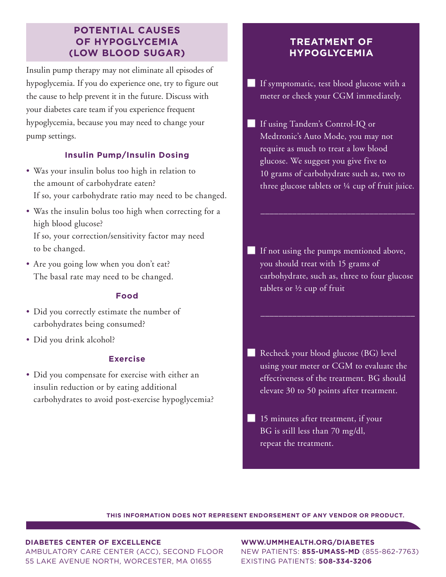# **POTENTIAL CAUSES OF HYPOGLYCEMIA (LOW BLOOD SUGAR)**

Insulin pump therapy may not eliminate all episodes of hypoglycemia. If you do experience one, try to figure out the cause to help prevent it in the future. Discuss with your diabetes care team if you experience frequent hypoglycemia, because you may need to change your pump settings.

# **Insulin Pump/Insulin Dosing**

- Was your insulin bolus too high in relation to the amount of carbohydrate eaten? If so, your carbohydrate ratio may need to be changed.
- Was the insulin bolus too high when correcting for a high blood glucose? If so, your correction/sensitivity factor may need to be changed.
- Are you going low when you don't eat? The basal rate may need to be changed.

# **Food**

- Did you correctly estimate the number of carbohydrates being consumed?
- Did you drink alcohol?

# **Exercise**

• Did you compensate for exercise with either an insulin reduction or by eating additional carbohydrates to avoid post-exercise hypoglycemia?

# **TREATMENT OF HYPOGLYCEMIA**

- ̓ If symptomatic, test blood glucose with a meter or check your CGM immediately.
- ̓ If using Tandem's Control-IQ or Medtronic's Auto Mode, you may not require as much to treat a low blood glucose. We suggest you give five to 10 grams of carbohydrate such as, two to three glucose tablets or ¼ cup of fruit juice.

 $\overline{\phantom{a}}$  , and the set of the set of the set of the set of the set of the set of the set of the set of the set of the set of the set of the set of the set of the set of the set of the set of the set of the set of the s

- ̓ If not using the pumps mentioned above, you should treat with 15 grams of carbohydrate, such as, three to four glucose tablets or ½ cup of fruit
- ̓ Recheck your blood glucose (BG) level using your meter or CGM to evaluate the effectiveness of the treatment. BG should elevate 30 to 50 points after treatment.
- **lacks** 15 minutes after treatment, if your BG is still less than 70 mg/dl, repeat the treatment.

**THIS INFORMATION DOES NOT REPRESENT ENDORSEMENT OF ANY VENDOR OR PRODUCT.**

#### **DIABETES CENTER OF EXCELLENCE**

AMBULATORY CARE CENTER (ACC), SECOND FLOOR 55 LAKE AVENUE NORTH, WORCESTER, MA 01655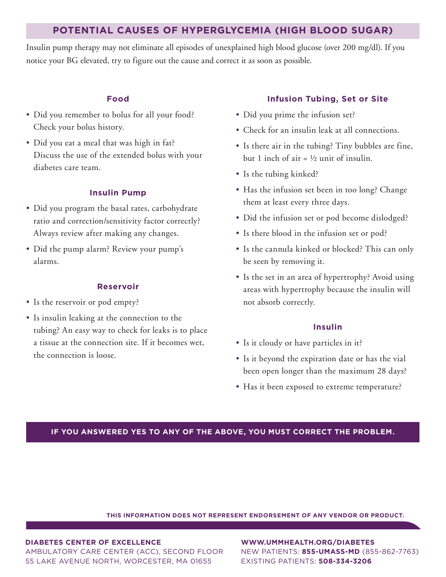# **POTENTIAL CAUSES OF HYPERGLYCEMIA (HIGH BLOOD SUGAR)**

Insulin pump therapy may not eliminate all episodes of unexplained high blood glucose (over 200 mg/dl). If you notice your BG elevated, try to figure out the cause and correct it as soon as possible.

### **Food**

- Did you remember to bolus for all your food? Check your bolus history.
- Did you eat a meal that was high in fat? Discuss the use of the extended bolus with your diabetes care team.

# **Insulin Pump**

- Did you program the basal rates, carbohydrate ratio and correction/sensitivity factor correctly? Always review after making any changes.
- Did the pump alarm? Review your pump's alarms.

#### **Reservoir**

- Is the reservoir or pod empty?
- Is insulin leaking at the connection to the tubing? An easy way to check for leaks is to place a tissue at the connection site. If it becomes wet, the connection is loose.

# **Infusion Tubing, Set or Site**

- Did you prime the infusion set?
- Check for an insulin leak at all connections.
- Is there air in the tubing? Tiny bubbles are fine, but 1 inch of air =  $\frac{1}{2}$  unit of insulin.
- Is the tubing kinked?
- Has the infusion set been in too long? Change them at least every three days.
- Did the infusion set or pod become dislodged?
- Is there blood in the infusion set or pod?
- Is the cannula kinked or blocked? This can only be seen by removing it.
- Is the set in an area of hypertrophy? Avoid using areas with hypertrophy because the insulin will not absorb correctly.

#### **Insulin**

- Is it cloudy or have particles in it?
- Is it beyond the expiration date or has the vial been open longer than the maximum 28 days?
- Has it been exposed to extreme temperature?

# **IF YOU ANSWERED YES TO ANY OF THE ABOVE, YOU MUST CORRECT THE PROBLEM.**

**THIS INFORMATION DOES NOT REPRESENT ENDORSEMENT OF ANY VENDOR OR PRODUCT.**

#### **DIABETES CENTER OF EXCELLENCE**

AMBULATORY CARE CENTER (ACC), SECOND FLOOR 55 LAKE AVENUE NORTH, WORCESTER, MA 01655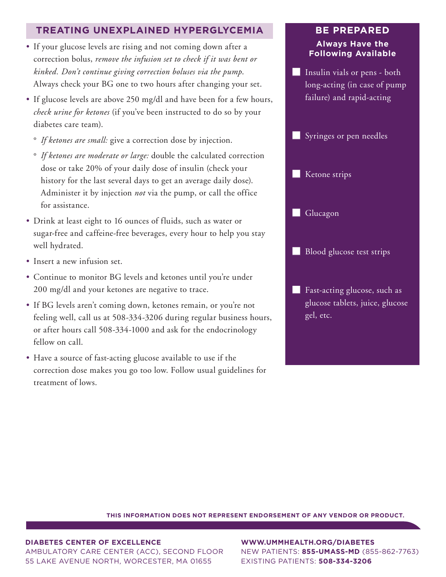# **TREATING UNEXPLAINED HYPERGLYCEMIA**

- If your glucose levels are rising and not coming down after a correction bolus, *remove the infusion set to check if it was bent or kinked. Don't continue giving correction boluses via the pump*. Always check your BG one to two hours after changing your set.
- If glucose levels are above 250 mg/dl and have been for a few hours, *check urine for ketones* (if you've been instructed to do so by your diabetes care team).
	- ° *If ketones are small:* give a correction dose by injection.
	- ° *If ketones are moderate or large:* double the calculated correction dose or take 20% of your daily dose of insulin (check your history for the last several days to get an average daily dose). Administer it by injection *not* via the pump, or call the office for assistance.
- Drink at least eight to 16 ounces of fluids, such as water or sugar-free and caffeine-free beverages, every hour to help you stay well hydrated.
- Insert a new infusion set.
- Continue to monitor BG levels and ketones until you're under 200 mg/dl and your ketones are negative to trace.
- If BG levels aren't coming down, ketones remain, or you're not feeling well, call us at 508-334-3206 during regular business hours, or after hours call 508-334-1000 and ask for the endocrinology fellow on call.
- Have a source of fast-acting glucose available to use if the correction dose makes you go too low. Follow usual guidelines for treatment of lows.

# **BE PREPARED Always Have the Following Available**

̓ Insulin vials or pens - both long-acting (in case of pump failure) and rapid-acting



**Example 1** Fast-acting glucose, such as glucose tablets, juice, glucose gel, etc.

**THIS INFORMATION DOES NOT REPRESENT ENDORSEMENT OF ANY VENDOR OR PRODUCT.**

#### **DIABETES CENTER OF EXCELLENCE**

AMBULATORY CARE CENTER (ACC), SECOND FLOOR 55 LAKE AVENUE NORTH, WORCESTER, MA 01655